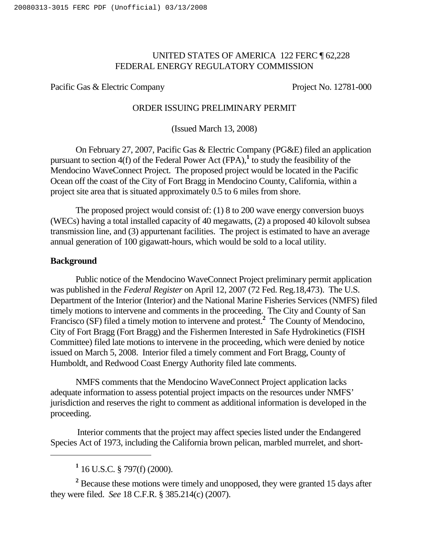# UNITED STATES OF AMERICA 122 FERC ¶ 62,228 FEDERAL ENERGY REGULATORY COMMISSION

Pacific Gas & Electric Company Project No. 12781-000

# ORDER ISSUING PRELIMINARY PERMIT

(Issued March 13, 2008)

On February 27, 2007, Pacific Gas & Electric Company (PG&E) filed an application pursuant to section  $4(f)$  of the Federal Power Act (FPA),<sup>1</sup> to study the feasibility of the Mendocino WaveConnect Project. The proposed project would be located in the Pacific Ocean off the coast of the City of Fort Bragg in Mendocino County, California, within a project site area that is situated approximately 0.5 to 6 miles from shore.

The proposed project would consist of: (1) 8 to 200 wave energy conversion buoys (WECs) having a total installed capacity of 40 megawatts, (2) a proposed 40 kilovolt subsea transmission line, and (3) appurtenant facilities. The project is estimated to have an average annual generation of 100 gigawatt-hours, which would be sold to a local utility.

# **Background**

Public notice of the Mendocino WaveConnect Project preliminary permit application was published in the *Federal Register* on April 12, 2007 (72 Fed. Reg.18,473). The U.S. Department of the Interior (Interior) and the National Marine Fisheries Services (NMFS) filed timely motions to intervene and comments in the proceeding. The City and County of San Francisco (SF) filed a timely motion to intervene and protest.**<sup>2</sup>** The County of Mendocino, City of Fort Bragg (Fort Bragg) and the Fishermen Interested in Safe Hydrokinetics (FISH Committee) filed late motions to intervene in the proceeding, which were denied by notice issued on March 5, 2008. Interior filed a timely comment and Fort Bragg, County of Humboldt, and Redwood Coast Energy Authority filed late comments.

NMFS comments that the Mendocino WaveConnect Project application lacks adequate information to assess potential project impacts on the resources under NMFS' jurisdiction and reserves the right to comment as additional information is developed in the proceeding.

Interior comments that the project may affect species listed under the Endangered Species Act of 1973, including the California brown pelican, marbled murrelet, and short-

**<sup>2</sup>** Because these motions were timely and unopposed, they were granted 15 days after they were filed. *See* 18 C.F.R. § 385.214(c) (2007).

**<sup>1</sup>** 16 U.S.C. § 797(f) (2000).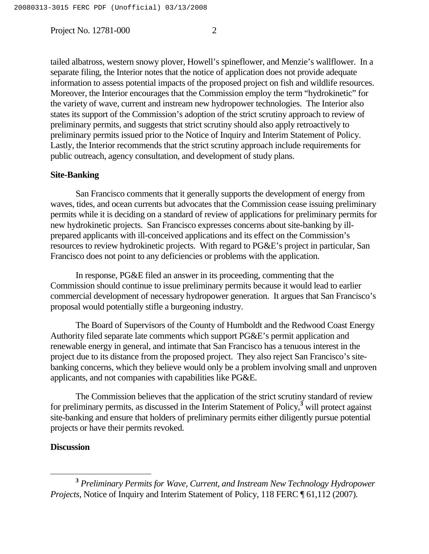tailed albatross, western snowy plover, Howell's spineflower, and Menzie's wallflower. In a separate filing, the Interior notes that the notice of application does not provide adequate information to assess potential impacts of the proposed project on fish and wildlife resources. Moreover, the Interior encourages that the Commission employ the term "hydrokinetic" for the variety of wave, current and instream new hydropower technologies. The Interior also states its support of the Commission's adoption of the strict scrutiny approach to review of preliminary permits, and suggests that strict scrutiny should also apply retroactively to preliminary permits issued prior to the Notice of Inquiry and Interim Statement of Policy. Lastly, the Interior recommends that the strict scrutiny approach include requirements for public outreach, agency consultation, and development of study plans.

#### **Site-Banking**

San Francisco comments that it generally supports the development of energy from waves, tides, and ocean currents but advocates that the Commission cease issuing preliminary permits while it is deciding on a standard of review of applications for preliminary permits for new hydrokinetic projects. San Francisco expresses concerns about site-banking by illprepared applicants with ill-conceived applications and its effect on the Commission's resources to review hydrokinetic projects. With regard to PG&E's project in particular, San Francisco does not point to any deficiencies or problems with the application.

In response, PG&E filed an answer in its proceeding, commenting that the Commission should continue to issue preliminary permits because it would lead to earlier commercial development of necessary hydropower generation. It argues that San Francisco's proposal would potentially stifle a burgeoning industry.

The Board of Supervisors of the County of Humboldt and the Redwood Coast Energy Authority filed separate late comments which support PG&E's permit application and renewable energy in general, and intimate that San Francisco has a tenuous interest in the project due to its distance from the proposed project. They also reject San Francisco's sitebanking concerns, which they believe would only be a problem involving small and unproven applicants, and not companies with capabilities like PG&E.

The Commission believes that the application of the strict scrutiny standard of review for preliminary permits, as discussed in the Interim Statement of Policy,**<sup>3</sup>** will protect against site-banking and ensure that holders of preliminary permits either diligently pursue potential projects or have their permits revoked.

### **Discussion**

**<sup>3</sup>** *Preliminary Permits for Wave, Current, and Instream New Technology Hydropower Projects*, Notice of Inquiry and Interim Statement of Policy, 118 FERC ¶ 61,112 (2007).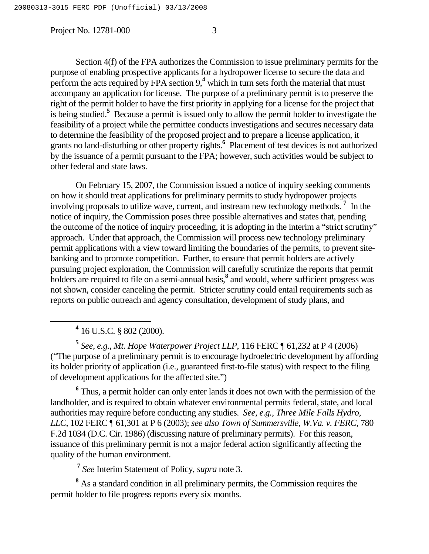Section 4(f) of the FPA authorizes the Commission to issue preliminary permits for the purpose of enabling prospective applicants for a hydropower license to secure the data and perform the acts required by FPA section 9,<sup>4</sup> which in turn sets forth the material that must accompany an application for license. The purpose of a preliminary permit is to preserve the right of the permit holder to have the first priority in applying for a license for the project that is being studied.**<sup>5</sup>** Because a permit is issued only to allow the permit holder to investigate the feasibility of a project while the permittee conducts investigations and secures necessary data to determine the feasibility of the proposed project and to prepare a license application, it grants no land-disturbing or other property rights.**<sup>6</sup>** Placement of test devices is not authorized by the issuance of a permit pursuant to the FPA; however, such activities would be subject to other federal and state laws.

On February 15, 2007, the Commission issued a notice of inquiry seeking comments on how it should treat applications for preliminary permits to study hydropower projects involving proposals to utilize wave, current, and instream new technology methods. **<sup>7</sup>** In the notice of inquiry, the Commission poses three possible alternatives and states that, pending the outcome of the notice of inquiry proceeding, it is adopting in the interim a "strict scrutiny" approach. Under that approach, the Commission will process new technology preliminary permit applications with a view toward limiting the boundaries of the permits, to prevent sitebanking and to promote competition. Further, to ensure that permit holders are actively pursuing project exploration, the Commission will carefully scrutinize the reports that permit holders are required to file on a semi-annual basis,<sup>8</sup> and would, where sufficient progress was not shown, consider canceling the permit. Stricter scrutiny could entail requirements such as reports on public outreach and agency consultation, development of study plans, and

**<sup>4</sup>** 16 U.S.C. § 802 (2000).

**<sup>5</sup>** *See, e.g., Mt. Hope Waterpower Project LLP*, 116 FERC ¶ 61,232 at P 4 (2006) ("The purpose of a preliminary permit is to encourage hydroelectric development by affording its holder priority of application (i.e., guaranteed first-to-file status) with respect to the filing of development applications for the affected site.")

**<sup>6</sup>** Thus, a permit holder can only enter lands it does not own with the permission of the landholder, and is required to obtain whatever environmental permits federal, state, and local authorities may require before conducting any studies. *See, e.g., Three Mile Falls Hydro, LLC*, 102 FERC ¶ 61,301 at P 6 (2003); *see also Town of Summersville, W.Va. v. FERC,* 780 F.2d 1034 (D.C. Cir. 1986) (discussing nature of preliminary permits). For this reason, issuance of this preliminary permit is not a major federal action significantly affecting the quality of the human environment.

**<sup>7</sup>** *See* Interim Statement of Policy, *supra* note 3.

**<sup>8</sup>** As a standard condition in all preliminary permits, the Commission requires the permit holder to file progress reports every six months.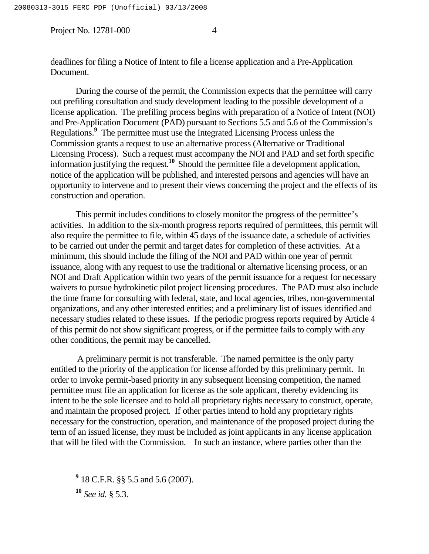deadlines for filing a Notice of Intent to file a license application and a Pre-Application Document.

During the course of the permit, the Commission expects that the permittee will carry out prefiling consultation and study development leading to the possible development of a license application. The prefiling process begins with preparation of a Notice of Intent (NOI) and Pre-Application Document (PAD) pursuant to Sections 5.5 and 5.6 of the Commission's Regulations.<sup>9</sup> The permittee must use the Integrated Licensing Process unless the Commission grants a request to use an alternative process (Alternative or Traditional Licensing Process). Such a request must accompany the NOI and PAD and set forth specific information justifying the request.**<sup>10</sup>** Should the permittee file a development application, notice of the application will be published, and interested persons and agencies will have an opportunity to intervene and to present their views concerning the project and the effects of its construction and operation.

This permit includes conditions to closely monitor the progress of the permittee's activities. In addition to the six-month progress reports required of permittees, this permit will also require the permittee to file, within 45 days of the issuance date, a schedule of activities to be carried out under the permit and target dates for completion of these activities. At a minimum, this should include the filing of the NOI and PAD within one year of permit issuance, along with any request to use the traditional or alternative licensing process, or an NOI and Draft Application within two years of the permit issuance for a request for necessary waivers to pursue hydrokinetic pilot project licensing procedures. The PAD must also include the time frame for consulting with federal, state, and local agencies, tribes, non-governmental organizations, and any other interested entities; and a preliminary list of issues identified and necessary studies related to these issues. If the periodic progress reports required by Article 4 of this permit do not show significant progress, or if the permittee fails to comply with any other conditions, the permit may be cancelled.

A preliminary permit is not transferable. The named permittee is the only party entitled to the priority of the application for license afforded by this preliminary permit. In order to invoke permit-based priority in any subsequent licensing competition, the named permittee must file an application for license as the sole applicant, thereby evidencing its intent to be the sole licensee and to hold all proprietary rights necessary to construct, operate, and maintain the proposed project. If other parties intend to hold any proprietary rights necessary for the construction, operation, and maintenance of the proposed project during the term of an issued license, they must be included as joint applicants in any license application that will be filed with the Commission. In such an instance, where parties other than the

**<sup>9</sup>** 18 C.F.R. §§ 5.5 and 5.6 (2007).

**<sup>10</sup>** *See id.* § 5.3.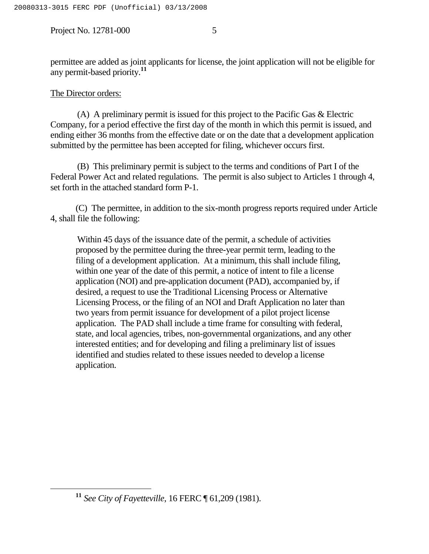permittee are added as joint applicants for license, the joint application will not be eligible for any permit-based priority.**<sup>11</sup>**

# The Director orders:

(A) A preliminary permit is issued for this project to the Pacific Gas & Electric Company, for a period effective the first day of the month in which this permit is issued, and ending either 36 months from the effective date or on the date that a development application submitted by the permittee has been accepted for filing, whichever occurs first.

(B) This preliminary permit is subject to the terms and conditions of Part I of the Federal Power Act and related regulations. The permit is also subject to Articles 1 through 4, set forth in the attached standard form P-1.

(C) The permittee, in addition to the six-month progress reports required under Article 4, shall file the following:

Within 45 days of the issuance date of the permit, a schedule of activities proposed by the permittee during the three-year permit term, leading to the filing of a development application. At a minimum, this shall include filing, within one year of the date of this permit, a notice of intent to file a license application (NOI) and pre-application document (PAD), accompanied by, if desired, a request to use the Traditional Licensing Process or Alternative Licensing Process, or the filing of an NOI and Draft Application no later than two years from permit issuance for development of a pilot project license application. The PAD shall include a time frame for consulting with federal, state, and local agencies, tribes, non-governmental organizations, and any other interested entities; and for developing and filing a preliminary list of issues identified and studies related to these issues needed to develop a license application.

**<sup>11</sup>** *See City of Fayetteville*, 16 FERC ¶ 61,209 (1981).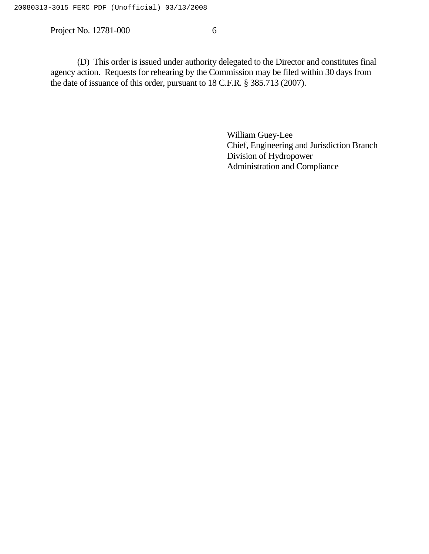(D) This order is issued under authority delegated to the Director and constitutes final agency action. Requests for rehearing by the Commission may be filed within 30 days from the date of issuance of this order, pursuant to 18 C.F.R. § 385.713 (2007).

> William Guey-Lee Chief, Engineering and Jurisdiction Branch Division of Hydropower Administration and Compliance